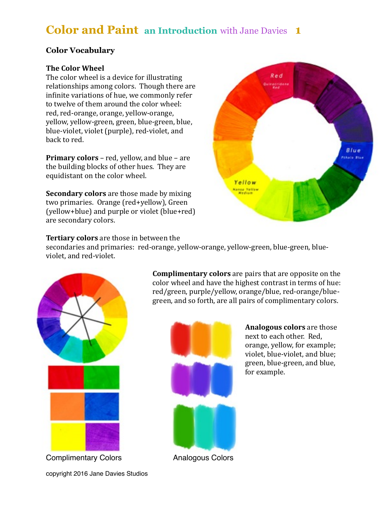# **Color and Paint an Introduction** with Jane Davies **1**

## **Color Vocabulary**

## **The Color Wheel**

The color wheel is a device for illustrating relationships among colors. Though there are infinite variations of hue, we commonly refer to twelve of them around the color wheel: red, red-orange, orange, yellow-orange, yellow, yellow-green, green, blue-green, blue, blue-violet, violet (purple), red-violet, and back to red. 

**Primary colors** – red, yellow, and blue – are the building blocks of other hues. They are equidistant on the color wheel.

**Secondary colors** are those made by mixing two primaries. Orange (red+yellow), Green (yellow+blue) and purple or violet (blue+red) are secondary colors.



## **Tertiary colors** are those in between the

secondaries and primaries: red-orange, yellow-orange, yellow-green, blue-green, blueviolet, and red-violet.



Complimentary Colors Analogous Colors

**Complimentary colors** are pairs that are opposite on the color wheel and have the highest contrast in terms of hue: red/green, purple/yellow, orange/blue, red-orange/bluegreen, and so forth, are all pairs of complimentary colors.



**Analogous colors** are those next to each other. Red, orange, yellow, for example; violet, blue-violet, and blue; green, blue-green, and blue, for example.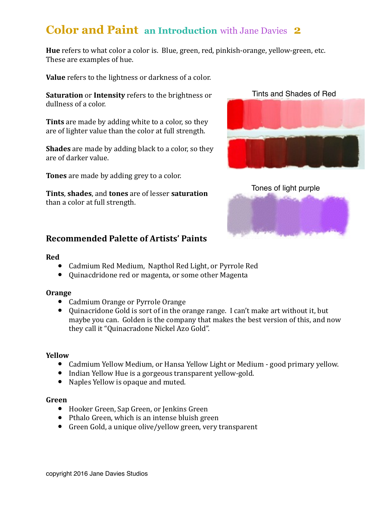# **Color and Paint an Introduction** with Jane Davies **2**

**Hue** refers to what color a color is. Blue, green, red, pinkish-orange, yellow-green, etc. These are examples of hue.

**Value** refers to the lightness or darkness of a color.

**Saturation** or **Intensity** refers to the brightness or dullness of a color.

**Tints** are made by adding white to a color, so they are of lighter value than the color at full strength.

**Shades** are made by adding black to a color, so they are of darker value.

**Tones** are made by adding grey to a color.

**Tints, shades, and tones** are of lesser **saturation** than a color at full strength.





## **Recommended Palette of Artists' Paints**

#### **Red**

- Cadmium Red Medium, Napthol Red Light, or Pyrrole Red
- Ouinacdridone red or magenta, or some other Magenta

## **Orange**

- Cadmium Orange or Pyrrole Orange
- Quinacridone Gold is sort of in the orange range. I can't make art without it, but maybe you can. Golden is the company that makes the best version of this, and now they call it "Quinacradone Nickel Azo Gold".

## **Yellow**

- Cadmium Yellow Medium, or Hansa Yellow Light or Medium good primary yellow.
- Indian Yellow Hue is a gorgeous transparent vellow-gold.
- Naples Yellow is opaque and muted.

#### **Green**

- Hooker Green, Sap Green, or Jenkins Green
- Pthalo Green, which is an intense bluish green
- Green Gold, a unique olive/yellow green, very transparent